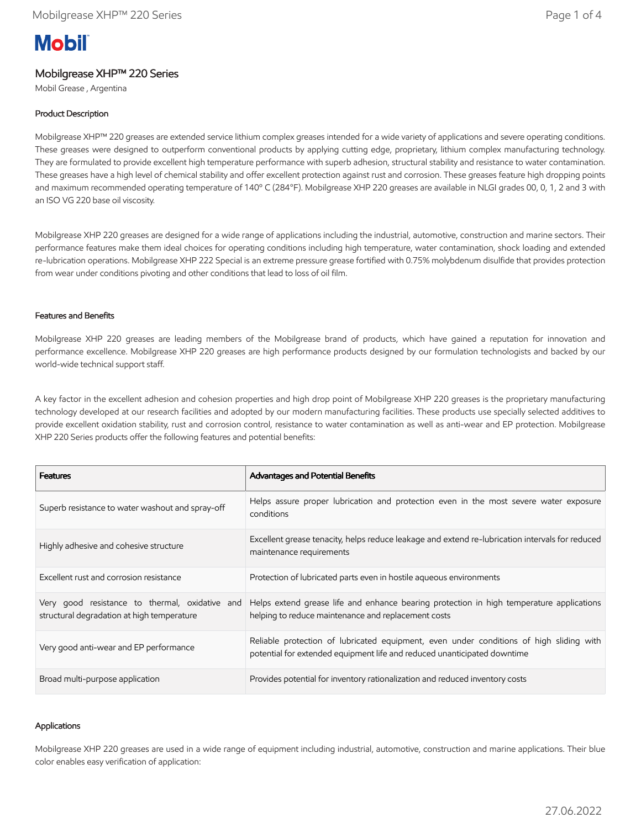# **Mobil**

# Mobilgrease XHP™ 220 Series

Mobil Grease , Argentina

# Product Description

Mobilgrease XHP™ 220 greases are extended service lithium complex greases intended for a wide variety of applications and severe operating conditions. These greases were designed to outperform conventional products by applying cutting edge, proprietary, lithium complex manufacturing technology. They are formulated to provide excellent high temperature performance with superb adhesion, structural stability and resistance to water contamination. These greases have a high level of chemical stability and offer excellent protection against rust and corrosion. These greases feature high dropping points and maximum recommended operating temperature of 140º C (284°F). Mobilgrease XHP 220 greases are available in NLGI grades 00, 0, 1, 2 and 3 with an ISO VG 220 base oil viscosity.

Mobilgrease XHP 220 greases are designed for a wide range of applications including the industrial, automotive, construction and marine sectors. Their performance features make them ideal choices for operating conditions including high temperature, water contamination, shock loading and extended re-lubrication operations. Mobilgrease XHP 222 Special is an extreme pressure grease fortified with 0.75% molybdenum disulfide that provides protection from wear under conditions pivoting and other conditions that lead to loss of oil film.

### Features and Benefits

Mobilgrease XHP 220 greases are leading members of the Mobilgrease brand of products, which have gained a reputation for innovation and performance excellence. Mobilgrease XHP 220 greases are high performance products designed by our formulation technologists and backed by our world-wide technical support staff.

A key factor in the excellent adhesion and cohesion properties and high drop point of Mobilgrease XHP 220 greases is the proprietary manufacturing technology developed at our research facilities and adopted by our modern manufacturing facilities. These products use specially selected additives to provide excellent oxidation stability, rust and corrosion control, resistance to water contamination as well as anti-wear and EP protection. Mobilgrease XHP 220 Series products offer the following features and potential benefits:

| <b>Features</b>                                                                              | Advantages and Potential Benefits                                                                                                                                   |
|----------------------------------------------------------------------------------------------|---------------------------------------------------------------------------------------------------------------------------------------------------------------------|
| Superb resistance to water washout and spray-off                                             | Helps assure proper lubrication and protection even in the most severe water exposure<br>conditions                                                                 |
| Highly adhesive and cohesive structure                                                       | Excellent grease tenacity, helps reduce leakage and extend re-lubrication intervals for reduced<br>maintenance requirements                                         |
| Excellent rust and corrosion resistance                                                      | Protection of lubricated parts even in hostile agueous environments                                                                                                 |
| Very good resistance to thermal, oxidative and<br>structural degradation at high temperature | Helps extend grease life and enhance bearing protection in high temperature applications<br>helping to reduce maintenance and replacement costs                     |
| Very good anti-wear and EP performance                                                       | Reliable protection of lubricated equipment, even under conditions of high sliding with<br>potential for extended equipment life and reduced unanticipated downtime |
| Broad multi-purpose application                                                              | Provides potential for inventory rationalization and reduced inventory costs                                                                                        |

#### Applications

Mobilgrease XHP 220 greases are used in a wide range of equipment including industrial, automotive, construction and marine applications. Their blue color enables easy verification of application: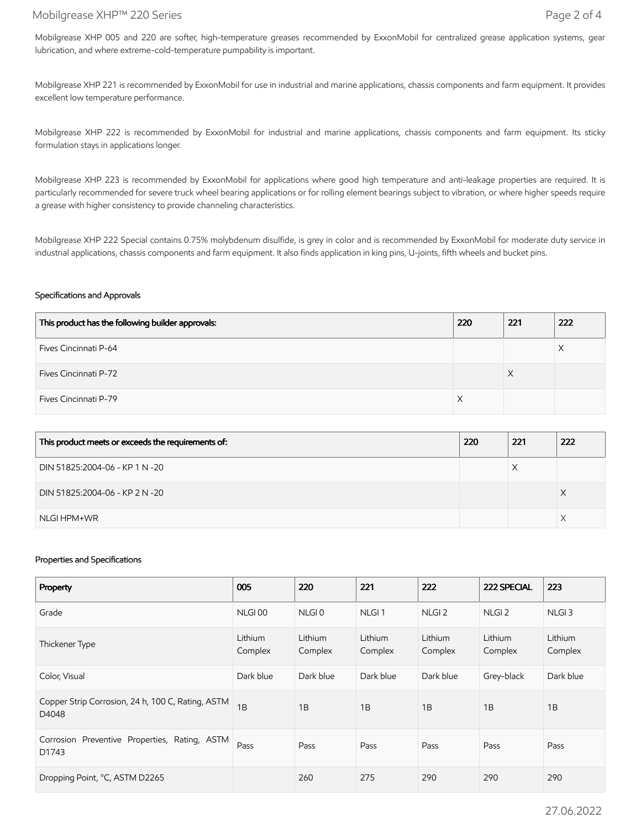## Mobilgrease XHP™ 220 Series Page 2 of 4

Mobilgrease XHP 005 and 220 are softer, high-temperature greases recommended by ExxonMobil for centralized grease application systems, gear lubrication, and where extreme-cold-temperature pumpability is important.

Mobilgrease XHP 221 is recommended by ExxonMobil for use in industrial and marine applications, chassis components and farm equipment. It provides excellent low temperature performance.

Mobilgrease XHP 222 is recommended by ExxonMobil for industrial and marine applications, chassis components and farm equipment. Its sticky formulation stays in applications longer.

Mobilgrease XHP 223 is recommended by ExxonMobil for applications where good high temperature and anti-leakage properties are required. It is particularly recommended for severe truck wheel bearing applications or for rolling element bearings subject to vibration, or where higher speeds require a grease with higher consistency to provide channeling characteristics.

Mobilgrease XHP 222 Special contains 0.75% molybdenum disulfide, is grey in color and is recommended by ExxonMobil for moderate duty service in industrial applications, chassis components and farm equipment. It also finds application in king pins, U-joints, fifth wheels and bucket pins.

#### Specifications and Approvals

| This product has the following builder approvals: | 220 | 221 | 222 |
|---------------------------------------------------|-----|-----|-----|
| Fives Cincinnati P-64                             |     |     |     |
| <b>Fives Cincinnati P-72</b>                      |     | ⋏   |     |
| Fives Cincinnati P-79                             |     |     |     |

| This product meets or exceeds the requirements of: | 220 | 221       | 222 |
|----------------------------------------------------|-----|-----------|-----|
| DIN 51825:2004-06 - KP 1 N -20                     |     | $\lambda$ |     |
| DIN 51825:2004-06 - KP 2 N -20                     |     |           |     |
| NLGI HPM+WR                                        |     |           |     |

#### Properties and Specifications

| Property                                                   | 005                | 220                | 221                | 222                | 222 SPECIAL        | 223                |
|------------------------------------------------------------|--------------------|--------------------|--------------------|--------------------|--------------------|--------------------|
| Grade                                                      | NLGI00             | NLGI <sub>0</sub>  | NLGI <sub>1</sub>  | NLGI <sub>2</sub>  | NLGI <sub>2</sub>  | NLGI <sub>3</sub>  |
| Thickener Type                                             | Lithium<br>Complex | Lithium<br>Complex | Lithium<br>Complex | Lithium<br>Complex | Lithium<br>Complex | Lithium<br>Complex |
| Color, Visual                                              | Dark blue          | Dark blue          | Dark blue          | Dark blue          | Grey-black         | Dark blue          |
| Copper Strip Corrosion, 24 h, 100 C, Rating, ASTM<br>D4048 | 1B                 | 1B                 | 1B                 | 1B                 | 1B                 | 1B                 |
| Corrosion Preventive Properties, Rating, ASTM<br>D1743     | Pass               | Pass               | Pass               | Pass               | Pass               | Pass               |
| Dropping Point, °C, ASTM D2265                             |                    | 260                | 275                | 290                | 290                | 290                |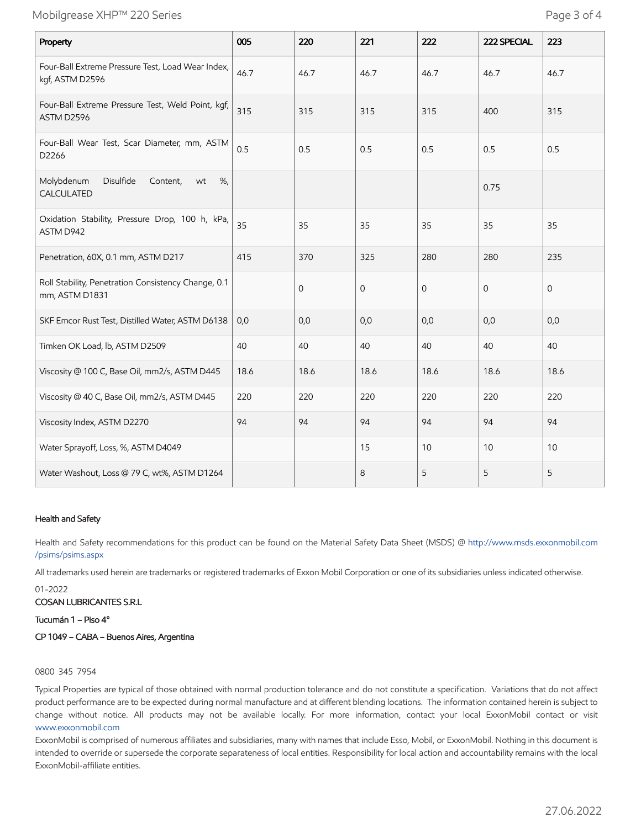# Mobilgrease XHP™ 220 Series Page 3 of 4

| Property                                                              | 005  | 220          | 221          | 222         | 222 SPECIAL    | 223          |
|-----------------------------------------------------------------------|------|--------------|--------------|-------------|----------------|--------------|
| Four-Ball Extreme Pressure Test, Load Wear Index,<br>kgf, ASTM D2596  | 46.7 | 46.7         | 46.7         | 46.7        | 46.7           | 46.7         |
| Four-Ball Extreme Pressure Test, Weld Point, kgf,<br>ASTM D2596       | 315  | 315          | 315          | 315         | 400            | 315          |
| Four-Ball Wear Test, Scar Diameter, mm, ASTM<br>D2266                 | 0.5  | 0.5          | 0.5          | 0.5         | 0.5            | 0.5          |
| Disulfide<br>Molybdenum<br>Content,<br>%,<br>wt<br>CALCULATED         |      |              |              |             | 0.75           |              |
| Oxidation Stability, Pressure Drop, 100 h, kPa,<br>ASTM D942          | 35   | 35           | 35           | 35          | 35             | 35           |
| Penetration, 60X, 0.1 mm, ASTM D217                                   | 415  | 370          | 325          | 280         | 280            | 235          |
| Roll Stability, Penetration Consistency Change, 0.1<br>mm, ASTM D1831 |      | $\mathbf{0}$ | $\mathbf{O}$ | $\mathbf 0$ | $\overline{O}$ | $\mathbf{O}$ |
| SKF Emcor Rust Test, Distilled Water, ASTM D6138                      | 0,0  | 0,0          | 0,0          | 0,0         | 0,0            | 0,0          |
| Timken OK Load, lb, ASTM D2509                                        | 40   | 40           | 40           | 40          | 40             | 40           |
| Viscosity @ 100 C, Base Oil, mm2/s, ASTM D445                         | 18.6 | 18.6         | 18.6         | 18.6        | 18.6           | 18.6         |
| Viscosity @ 40 C, Base Oil, mm2/s, ASTM D445                          | 220  | 220          | 220          | 220         | 220            | 220          |
| Viscosity Index, ASTM D2270                                           | 94   | 94           | 94           | 94          | 94             | 94           |
| Water Sprayoff, Loss, %, ASTM D4049                                   |      |              | 15           | 10          | 10             | 10           |
| Water Washout, Loss @ 79 C, wt%, ASTM D1264                           |      |              | 8            | 5           | 5              | 5            |

#### Health and Safety

Health and Safety recommendations for this product can be found on the Material Safety Data Sheet (MSDS) @ [http://www.msds.exxonmobil.com](http://www.msds.exxonmobil.com/psims/psims.aspx) /psims/psims.aspx

All trademarks used herein are trademarks or registered trademarks of Exxon Mobil Corporation or one of its subsidiaries unless indicated otherwise.

01-2022

COSAN LUBRICANTES S.R.L

Tucumán 1 – Piso 4°

CP 1049 – CABA – Buenos Aires, Argentina

## 0800 345 7954

Typical Properties are typical of those obtained with normal production tolerance and do not constitute a specification. Variations that do not affect product performance are to be expected during normal manufacture and at different blending locations. The information contained herein is subject to change without notice. All products may not be available locally. For more information, contact your local ExxonMobil contact or visit [www.exxonmobil.com](http://www.exxonmobil.com/)

ExxonMobil is comprised of numerous affiliates and subsidiaries, many with names that include Esso, Mobil, or ExxonMobil. Nothing in this document is intended to override or supersede the corporate separateness of local entities. Responsibility for local action and accountability remains with the local ExxonMobil-affiliate entities.